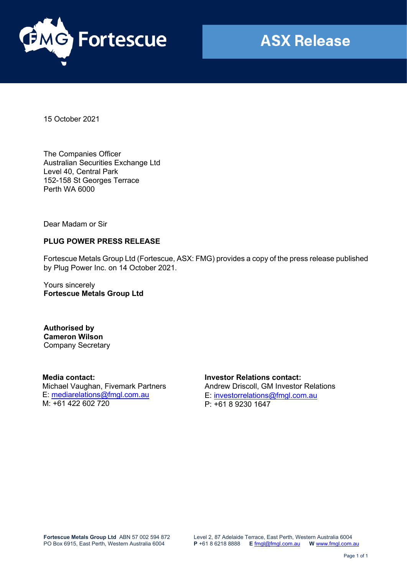

15 October 2021

The Companies Officer Australian Securities Exchange Ltd Level 40, Central Park 152-158 St Georges Terrace Perth WA 6000

Dear Madam or Sir

## **PLUG POWER PRESS RELEASE**

Fortescue Metals Group Ltd (Fortescue, ASX: FMG) provides a copy of the press release published by Plug Power Inc. on 14 October 2021.

Yours sincerely **Fortescue Metals Group Ltd**

**Authorised by Cameron Wilson** Company Secretary

**Media contact:**  Michael Vaughan, Fivemark Partners E: [mediarelations@fmgl.com.au](mailto:mediarelations@fmgl.com.au) M: +61 422 602 720

**Investor Relations contact:** Andrew Driscoll, GM Investor Relations E: [investorrelations@fmgl.com.au](mailto:investorrelations@fmgl.com.au) P: +61 8 9230 1647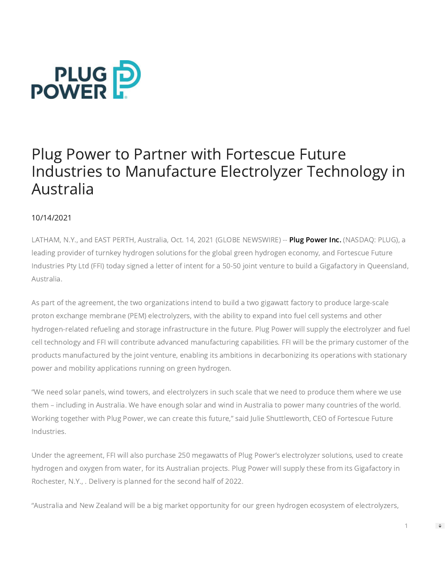

# Plug Power to Partner with Fortescue Future Industries to Manufacture Electrolyzer Technology in Australia

## 10/14/2021

LATHAM, N.Y., and EAST PERTH, Australia, Oct. 14, 2021 (GLOBE NEWSWIRE) -- [Plug Power Inc.](https://www.globenewswire.com/Tracker?data=vXcGaehRc5YB24pcNKqlSVcsp2_ldNbYCw7gDLXeSSNE8vkxG4letHCVOC-pWGGZaF83qYUbPsOPSlamDVQt5vqoNmjQgP_-28i6OssQT1_bfXO5BUeKIl_OzXfcAXVqO3mWXefeCjdH_Qb1NsCtg63xMf9a4vePdTqluH9vC-Dt6YWIepQpD4BrYJ2zUvc6AyQfs_iLEy3SPnvgWPKf4rCmvlYpP9afZQi_2V54fkAY5_NkJDo6apfPOflUjEtyQUxt_lFOoIEcLGNgsWtLVm_bLnapc9JNLTDd7gRU31OtqK094TZaS58dePvHxsqJu1Rg_Qk7QsyOpQUmNk7aAhr4Qtye0s9I5X3HpbuQteEDaUbR8NbWZlf6vbX95ztKJhNDJMxJgg1iBNH0Rv5eVXqfzSbGKTiT4lCm6Gc7G9s=) (NASDAQ: PLUG), a leading provider of turnkey hydrogen solutions for the global green hydrogen economy, and Fortescue Future Industries Pty Ltd (FFI) today signed a letter of intent for a 50-50 joint venture to build a Gigafactory in Queensland, Australia.

As part of the agreement, the two organizations intend to build a two gigawatt factory to produce large-scale proton exchange membrane (PEM) electrolyzers, with the ability to expand into fuel cell systems and other hydrogen-related refueling and storage infrastructure in the future. Plug Power will supply the electrolyzer and fuel cell technology and FFI will contribute advanced manufacturing capabilities. FFI will be the primary customer of the products manufactured by the joint venture, enabling its ambitions in decarbonizing its operations with stationary power and mobility applications running on green hydrogen.

"We need solar panels, wind towers, and electrolyzers in such scale that we need to produce them where we use them – including in Australia. We have enough solar and wind in Australia to power many countries of the world. Working together with Plug Power, we can create this future," said Julie Shuttleworth, CEO of Fortescue Future Industries.

Under the agreement, FFI will also purchase 250 megawatts of Plug Power's electrolyzer solutions, used to create hydrogen and oxygen from water, for its Australian projects. Plug Power will supply these from its Gigafactory in Rochester, N.Y., . Delivery is planned for the second half of 2022.

"Australia and New Zealand will be a big market opportunity for our green hydrogen ecosystem of electrolyzers,

 $\Rightarrow$ 

1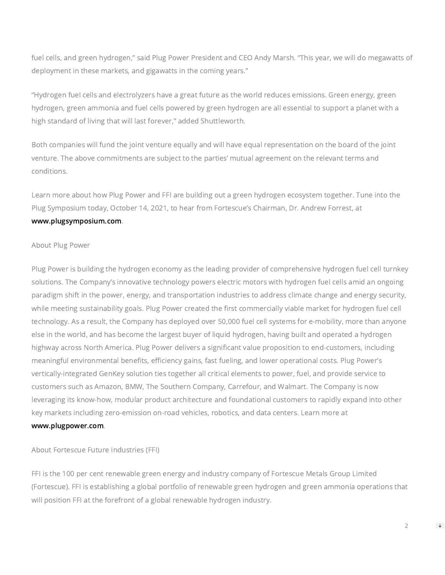fuel cells, and green hydrogen," said Plug Power President and CEO Andy Marsh. "This year, we will do megawatts of deployment in these markets, and gigawatts in the coming years."

"Hydrogen fuel cells and electrolyzers have a great future as the world reduces emissions. Green energy, green hydrogen, green ammonia and fuel cells powered by green hydrogen are all essential to support a planet with a high standard of living that will last forever," added Shuttleworth.

Both companies will fund the joint venture equally and will have equal representation on the board of the joint venture. The above commitments are subject to the parties' mutual agreement on the relevant terms and conditions.

Learn more about how Plug Power and FFI are building out a green hydrogen ecosystem together. Tune into the Plug Symposium today, October 14, 2021, to hear from Fortescue's Chairman, Dr. Andrew Forrest, at [www.plugsymposium.com](https://www.globenewswire.com/Tracker?data=BdsYOgsovJbUUj612nmVC0PlgLxrK88gcJ6pd_Hb5CiGIf1EbsybggKC6vjxcUi5xScAywVI-W5E6ELvw8i31LIt32ocbqtxPfqZY7GqebQ=).

### About Plug Power

Plug Power is building the hydrogen economy as the leading provider of comprehensive hydrogen fuel cell turnkey solutions. The Company's innovative technology powers electric motors with hydrogen fuel cells amid an ongoing paradigm shift in the power, energy, and transportation industries to address climate change and energy security, while meeting sustainability goals. Plug Power created the first commercially viable market for hydrogen fuel cell technology. As a result, the Company has deployed over 50,000 fuel cell systems for e-mobility, more than anyone else in the world, and has become the largest buyer of liquid hydrogen, having built and operated a hydrogen highway across North America. Plug Power delivers a significant value proposition to end-customers, including meaningful environmental benefits, efficiency gains, fast fueling, and lower operational costs. Plug Power's vertically-integrated GenKey solution ties together all critical elements to power, fuel, and provide service to customers such as Amazon, BMW, The Southern Company, Carrefour, and Walmart. The Company is now leveraging its know-how, modular product architecture and foundational customers to rapidly expand into other key markets including zero-emission on-road vehicles, robotics, and data centers. Learn more at [www.plugpower.com.](https://www.globenewswire.com/Tracker?data=BdsYOgsovJbUUj612nmVC4AQE2k3GQdX-yePgANha8xNMFDkiJc13jTxnOg7G4a_uTFWjbLHXAOi9Uw7ZE3detIxPDVnUdQPETTRwMawRBCYmp67qkjCe95NJ2sGx5DVf2-yPo050zSrbs8h_E6tlvCBnojvfFYLqjozbl2dCBht9XIc4ZaeY8VBsfnpQBh5OtcluvDI3ryNBsl-MfNXh1f7PJikG-V9eO2W9AI3qM8YwQP0WaC5I-6kpgaHwlNh)

About Fortescue Future Industries (FFI)

FFI is the 100 per cent renewable green energy and industry company of Fortescue Metals Group Limited (Fortescue). FFI is establishing a global portfolio of renewable green hydrogen and green ammonia operations that will position FFI at the forefront of a global renewable hydrogen industry.

2

 $\Rightarrow$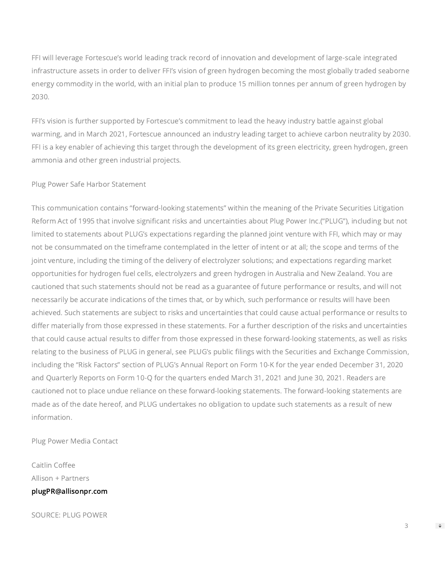FFI will leverage Fortescue's world leading track record of innovation and development of large-scale integrated infrastructure assets in order to deliver FFI's vision of green hydrogen becoming the most globally traded seaborne energy commodity in the world, with an initial plan to produce 15 million tonnes per annum of green hydrogen by 2030.

FFI's vision is further supported by Fortescue's commitment to lead the heavy industry battle against global warming, and in March 2021, Fortescue announced an industry leading target to achieve carbon neutrality by 2030. FFI is a key enabler of achieving this target through the development of its green electricity, green hydrogen, green ammonia and other green industrial projects.

### Plug Power Safe Harbor Statement

This communication contains "forward-looking statements" within the meaning of the Private Securities Litigation Reform Act of 1995 that involve significant risks and uncertainties about Plug Power Inc.("PLUG"), including but not limited to statements about PLUG's expectations regarding the planned joint venture with FFI, which may or may not be consummated on the timeframe contemplated in the letter of intent or at all; the scope and terms of the joint venture, including the timing of the delivery of electrolyzer solutions; and expectations regarding market opportunities for hydrogen fuel cells, electrolyzers and green hydrogen in Australia and New Zealand. You are cautioned that such statements should not be read as a guarantee of future performance or results, and will not necessarily be accurate indications of the times that, or by which, such performance or results will have been achieved. Such statements are subject to risks and uncertainties that could cause actual performance or results to differ materially from those expressed in these statements. For a further description of the risks and uncertainties that could cause actual results to differ from those expressed in these forward-looking statements, as well as risks relating to the business of PLUG in general, see PLUG's public filings with the Securities and Exchange Commission, including the "Risk Factors" section of PLUG's Annual Report on Form 10-K for the year ended December 31, 2020 and Quarterly Reports on Form 10-Q for the quarters ended March 31, 2021 and June 30, 2021. Readers are cautioned not to place undue reliance on these forward-looking statements. The forward-looking statements are made as of the date hereof, and PLUG undertakes no obligation to update such statements as a result of new information.

Plug Power Media Contact

Caitlin Coffee Allison + Partners [plugPR@allisonpr.com](https://www.globenewswire.com/Tracker?data=vmPYsE-vxFvaknyVd6P-JGUqO_qLFOnsApFZcoO_WK-UqdUrsUSrCuIkxf2Q6NhTgABOQXG285OTnS0qFkU0meRCzuLau9PfWjTNL627d4Q=)

SOURCE: PLUG POWER

 $\Rightarrow$ 

3